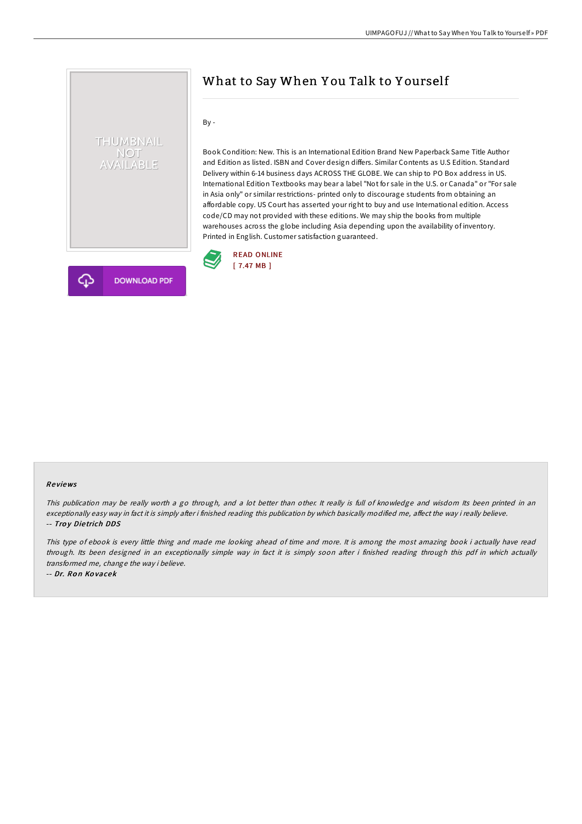# THUMBNAIL NOT<br>AVAILABLE

# What to Say When Y ou Talk to Y ourself

By -

Book Condition: New. This is an International Edition Brand New Paperback Same Title Author and Edition as listed. ISBN and Cover design differs. Similar Contents as U.S Edition. Standard Delivery within 6-14 business days ACROSS THE GLOBE. We can ship to PO Box address in US. International Edition Textbooks may bear a label "Not for sale in the U.S. or Canada" or "For sale in Asia only" or similar restrictions- printed only to discourage students from obtaining an affordable copy. US Court has asserted your right to buy and use International edition. Access code/CD may not provided with these editions. We may ship the books from multiple warehouses across the globe including Asia depending upon the availability of inventory. Printed in English. Customer satisfaction guaranteed.





**DOWNLOAD PDF** 

#### Re views

This publication may be really worth <sup>a</sup> go through, and <sup>a</sup> lot better than other. It really is full of knowledge and wisdom Its been printed in an exceptionally easy way in fact it is simply after i finished reading this publication by which basically modified me, affect the way i really believe. -- Troy Dietrich DDS

This type of ebook is every little thing and made me looking ahead of time and more. It is among the most amazing book i actually have read through. Its been designed in an exceptionally simple way in fact it is simply soon after i finished reading through this pdf in which actually transformed me, change the way i believe.

-- Dr. Ron Kovacek